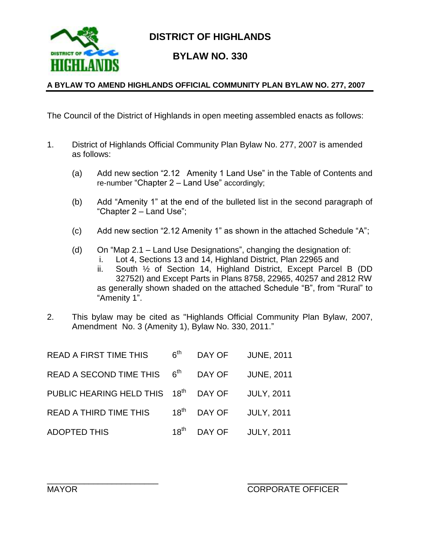

**DISTRICT OF HIGHLANDS**

### **BYLAW NO. 330**

#### **A BYLAW TO AMEND HIGHLANDS OFFICIAL COMMUNITY PLAN BYLAW NO. 277, 2007**

The Council of the District of Highlands in open meeting assembled enacts as follows:

- 1. District of Highlands Official Community Plan Bylaw No. 277, 2007 is amended as follows:
	- (a) Add new section "2.12 Amenity 1 Land Use" in the Table of Contents and re-number "Chapter 2 – Land Use" accordingly;
	- (b) Add "Amenity 1" at the end of the bulleted list in the second paragraph of "Chapter 2 – Land Use";
	- (c) Add new section "2.12 Amenity 1" as shown in the attached Schedule "A";
	- (d) On "Map 2.1 Land Use Designations", changing the designation of:
		- i. Lot 4, Sections 13 and 14, Highland District, Plan 22965 and
		- ii. South ½ of Section 14, Highland District, Except Parcel B (DD 32752I) and Except Parts in Plans 8758, 22965, 40257 and 2812 RW as generally shown shaded on the attached Schedule "B", from "Rural" to "Amenity 1".
- 2. This bylaw may be cited as "Highlands Official Community Plan Bylaw, 2007, Amendment No. 3 (Amenity 1), Bylaw No. 330, 2011."

| <b>READ A FIRST TIME THIS</b>                    | 6 <sup>th</sup>  | DAY OF | <b>JUNE, 2011</b> |
|--------------------------------------------------|------------------|--------|-------------------|
| READ A SECOND TIME THIS $6th$                    |                  | DAY OF | <b>JUNE, 2011</b> |
| PUBLIC HEARING HELD THIS 18 <sup>th</sup> DAY OF |                  |        | <b>JULY, 2011</b> |
| <b>READ A THIRD TIME THIS</b>                    | $18^{\text{th}}$ | DAY OF | <b>JULY, 2011</b> |
| <b>ADOPTED THIS</b>                              | $18^\mathsf{th}$ | DAY OF | <b>JULY, 2011</b> |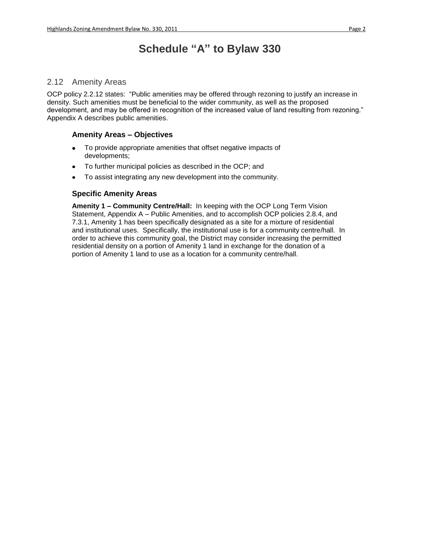## **Schedule "A" to Bylaw 330**

#### 2.12 Amenity Areas

OCP policy 2.2.12 states: "Public amenities may be offered through rezoning to justify an increase in density. Such amenities must be beneficial to the wider community, as well as the proposed development, and may be offered in recognition of the increased value of land resulting from rezoning." Appendix A describes public amenities.

#### **Amenity Areas – Objectives**

- To provide appropriate amenities that offset negative impacts of  $\bullet$ developments;
- To further municipal policies as described in the OCP; and
- To assist integrating any new development into the community.

#### **Specific Amenity Areas**

**Amenity 1 – Community Centre/Hall:** In keeping with the OCP Long Term Vision Statement, Appendix A – Public Amenities, and to accomplish OCP policies 2.8.4, and 7.3.1, Amenity 1 has been specifically designated as a site for a mixture of residential and institutional uses. Specifically, the institutional use is for a community centre/hall. In order to achieve this community goal, the District may consider increasing the permitted residential density on a portion of Amenity 1 land in exchange for the donation of a portion of Amenity 1 land to use as a location for a community centre/hall.